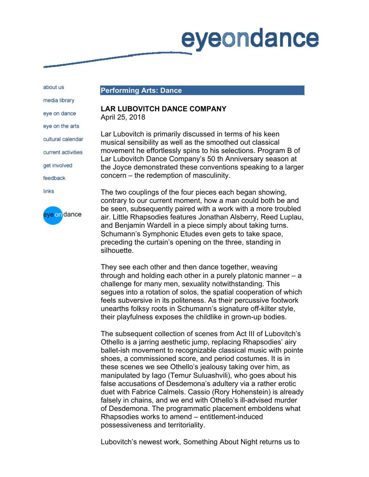## eyeondance

about us

**Performing Arts: Dance** 

## **LAR LUBOVITCH DANCE COMPANY** April 25, 2018

Lar Lubovitch is primarily discussed in terms of his keen musical sensibility as well as the smoothed out classical movement he effortlessly spins to his selections. Program B of Lar Lubovitch Dance Company's 50 th Anniversary season at the Joyce demonstrated these conventions speaking to a larger concern – the redemption of masculinity.

The two couplings of the four pieces each began showing, contrary to our current moment, how a man could both be and be seen, subsequently paired with a work with a more troubled air. Little Rhapsodies features Jonathan Alsberry, Reed Luplau, and Benjamin Wardell in a piece simply about taking turns. Schumann's Symphonic Etudes even gets to take space, preceding the curtain's opening on the three, standing in silhouette.

They see each other and then dance together, weaving through and holding each other in a purely platonic manner – a challenge for many men, sexuality notwithstanding. This segues into a rotation of solos, the spatial cooperation of which feels subversive in its politeness. As their percussive footwork unearths folksy roots in Schumann's signature off-kilter style, their playfulness exposes the childlike in grown-up bodies.

The subsequent collection of scenes from Act III of Lubovitch's Othello is a jarring aesthetic jump, replacing Rhapsodies' airy ballet-ish movement to recognizable classical music with pointe shoes, a commissioned score, and period costumes. It is in these scenes we see Othello's jealousy taking over him, as manipulated by Iago (Temur Suluashvili), who goes about his false accusations of Desdemona's adultery via a rather erotic duet with Fabrice Calmels. Cassio (Rory Hohenstein) is already falsely in chains, and we end with Othello's ill-advised murder of Desdemona. The programmatic placement emboldens what Rhapsodies works to amend – entitlement-induced possessiveness and territoriality.

Lubovitch's newest work, Something About Night returns us to

media library eye on dance

eye on the arts

cultural calendar

current activities

get involved

feedback

links